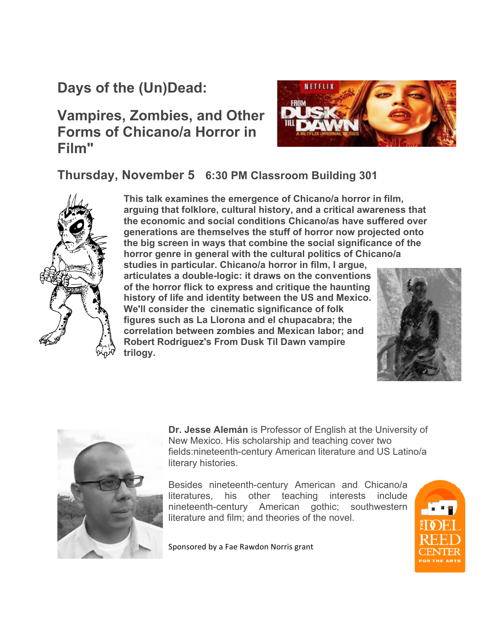## **Days of the (Un)Dead:**

## **Vampires, Zombies, and Other Forms of Chicano/a Horror in Film"**



**Thursday, November 5 6:30 PM Classroom Building 301**



**This talk examines the emergence of Chicano/a horror in film, arguing that folklore, cultural history, and a critical awareness that the economic and social conditions Chicano/as have suffered over generations are themselves the stuff of horror now projected onto the big screen in ways that combine the social significance of the horror genre in general with the cultural politics of Chicano/a** 

**studies in particular. Chicano/a horror in film, I argue, articulates a double-logic: it draws on the conventions of the horror flick to express and critique the haunting history of life and identity between the US and Mexico. We'll consider the cinematic significance of folk figures such as La Llorona and el chupacabra; the correlation between zombies and Mexican labor; and Robert Rodriguez's From Dusk Til Dawn vampire trilogy.**





**Dr. Jesse Alemán** is Professor of English at the University of New Mexico. His scholarship and teaching cover two fields:nineteenth-century American literature and US Latino/a literary histories.

Besides nineteenth-century American and Chicano/a literatures, his other teaching interests include nineteenth-century American gothic; southwestern literature and film; and theories of the novel.

Sponsored by a Fae Rawdon Norris grant